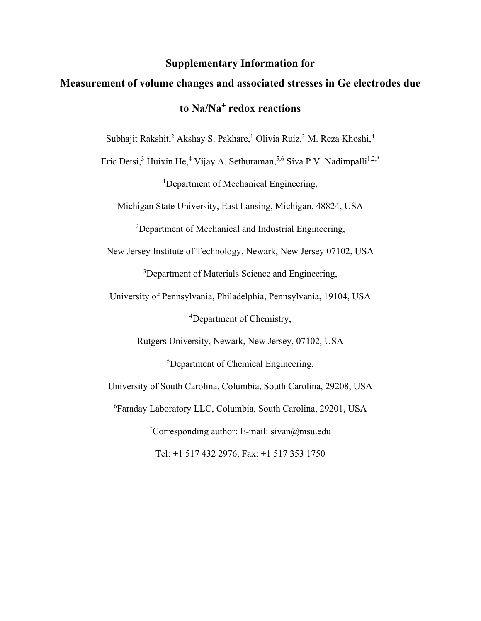## **Supplementary Information for**

## **Measurement of volume changes and associated stresses in Ge electrodes due to Na/Na+ redox reactions**

Subhajit Rakshit,<sup>2</sup> Akshay S. Pakhare,<sup>1</sup> Olivia Ruiz,<sup>3</sup> M. Reza Khoshi,<sup>4</sup>

Eric Detsi,<sup>3</sup> Huixin He,<sup>4</sup> Vijay A. Sethuraman,<sup>5,6</sup> Siva P.V. Nadimpalli<sup>1,2,\*</sup>

<sup>1</sup>Department of Mechanical Engineering,

Michigan State University, East Lansing, Michigan, 48824, USA

<sup>2</sup>Department of Mechanical and Industrial Engineering,

New Jersey Institute of Technology, Newark, New Jersey 07102, USA

<sup>3</sup>Department of Materials Science and Engineering,

University of Pennsylvania, Philadelphia, Pennsylvania, 19104, USA

4 Department of Chemistry,

Rutgers University, Newark, New Jersey, 07102, USA

<sup>5</sup>Department of Chemical Engineering,

University of South Carolina, Columbia, South Carolina, 29208, USA

6 Faraday Laboratory LLC, Columbia, South Carolina, 29201, USA

\* Corresponding author: E-mail: sivan@msu.edu Tel: +1 517 432 2976, Fax: +1 517 353 1750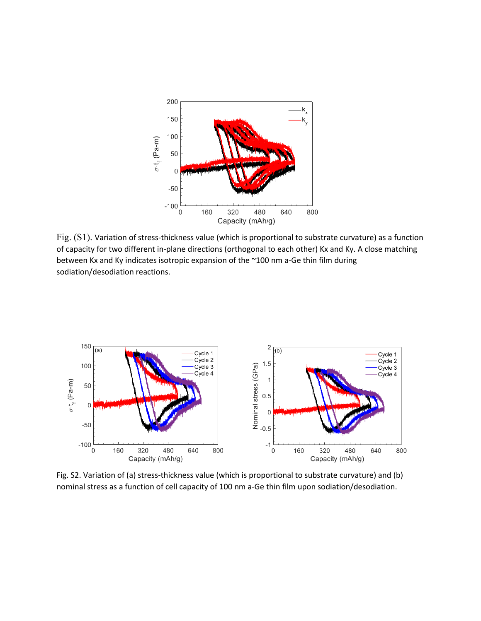

Fig. (S1). Variation of stress-thickness value (which is proportional to substrate curvature) as a function of capacity for two different in-plane directions (orthogonal to each other) Kx and Ky. A close matching between Kx and Ky indicates isotropic expansion of the ~100 nm a-Ge thin film during sodiation/desodiation reactions.



Fig. S2. Variation of (a) stress-thickness value (which is proportional to substrate curvature) and (b) nominal stress as a function of cell capacity of 100 nm a-Ge thin film upon sodiation/desodiation.